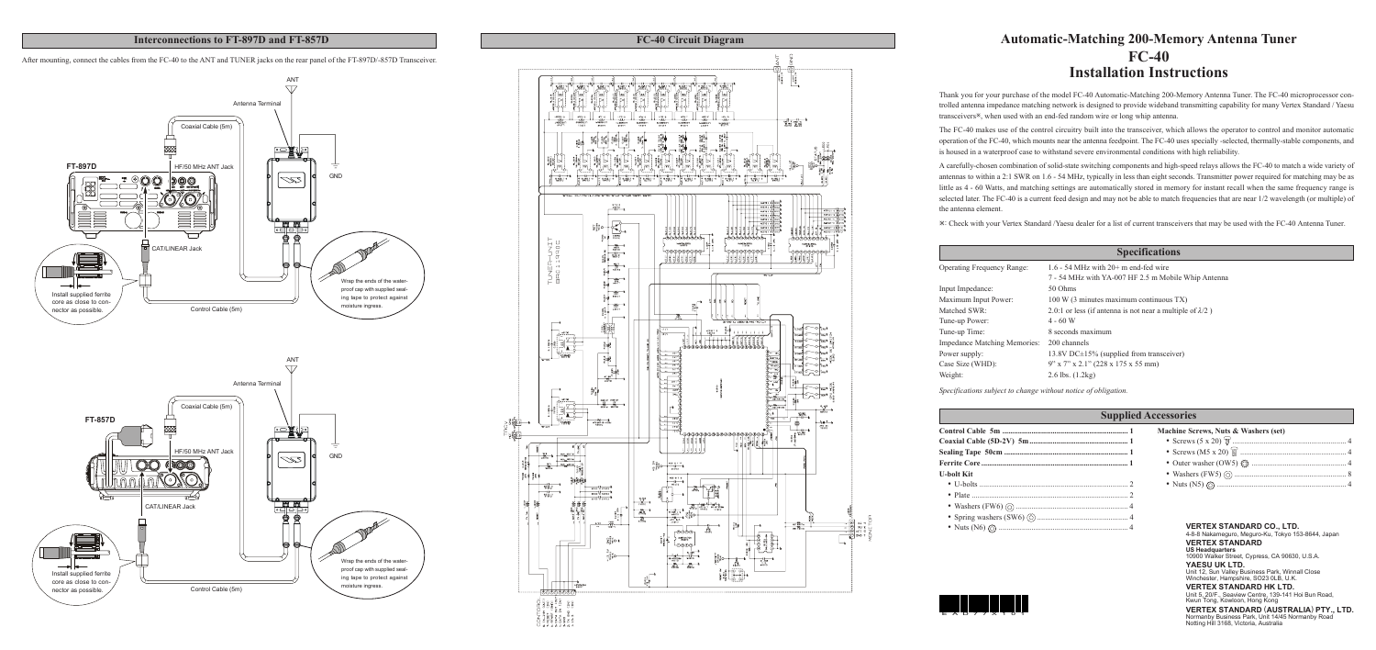# **Automatic-Matching 200-Memory Antenna Tuner FC-40 Installation Instructions**

Thank you for your purchase of the model FC-40 Automatic-Matching 200-Memory Antenna Tuner. The FC-40 microprocessor controlled antenna impedance matching network is designed to provide wideband transmitting capability for many Vertex Standard / Yaesu transceivers<sup>\*</sup>, when used with an end-fed random wire or long whip antenna.

The FC-40 makes use of the control circuitry built into the transceiver, which allows the operator to control and monitor automatic operation of the FC-40, which mounts near the antenna feedpoint. The FC-40 uses specially -selected, thermally-stable components, and is housed in a waterproof case to withstand severe environmental conditions with high reliability.

A carefully-chosen combination of solid-state switching components and high-speed relays allows the FC-40 to match a wide variety of antennas to within a 2:1 SWR on 1.6 - 54 MHz, typically in less than eight seconds. Transmitter power required for matching may be as little as 4 - 60 Watts, and matching settings are automatically stored in memory for instant recall when the same frequency range is selected later. The FC-40 is a current feed design and may not be able to match frequencies that are near 1/2 wavelength (or multiple) of the antenna element.

Ú: Check with your Vertex Standard /Yaesu dealer for a list of current transceivers that may be used with the FC-40 Antenna Tuner.

|            | <b>Supplie</b> |
|------------|----------------|
|            |                |
|            |                |
|            |                |
|            |                |
| U-bolt Kit |                |
|            |                |
|            |                |
|            |                |
|            |                |
|            |                |

# $\frac{ANT}{\sqrt{17}}$ Antenna Terminal Coaxial Cable (5m) ▩  $\circ$ **FT-897D HE/50 MHz ANT Jack GND**  $z\!\!\swarrow\!\!z$ <u> DOO</u>  $\mathbb{O}(\mathbb{O})$ CAT/LINEAR Jack Wrap the ends of the waterproof cap with supplied seal-Install supplied ferrite ing tape to protect against core as close to conmoisture ingress. Control Cable (5m) nector as possible. ANT Antenna Terminal Coaxial Cable (5m) **FT-857D**  $\overline{\circ}$ းမြေး<br>- မြေး HF/50 MHz ANT Jack GND 5K **to a** ੰ ਲ ਲ CAT/LINEAR Jack Wrap the ends of the water-╼╊┢╾ proof cap with supplied seal-Install supplied ferrite ing tape to protect against core as close to con-

|                                   | <b>Specifications</b>                                             |
|-----------------------------------|-------------------------------------------------------------------|
| <b>Operating Frequency Range:</b> | 1.6 - 54 MHz with $20+$ m end-fed wire                            |
|                                   | 7 - 54 MHz with YA-007 HF 2.5 m Mobile Whip Antenna               |
| Input Impedance:                  | 50 Ohms                                                           |
| Maximum Input Power:              | 100 W (3 minutes maximum continuous TX)                           |
| Matched SWR:                      | 2.0:1 or less (if antenna is not near a multiple of $\lambda/2$ ) |
| Tune-up Power:                    | $4 - 60 W$                                                        |
| Tune-up Time:                     | 8 seconds maximum                                                 |
| Impedance Matching Memories:      | 200 channels                                                      |
| Power supply:                     | 13.8V DC $\pm$ 15% (supplied from transceiver)                    |
| Case Size (WHD):                  | $9''$ x 7" x 2.1" (228 x 175 x 55 mm)                             |
| Weight:                           | 2.6 lbs. $(1.2kg)$                                                |

| d Accessories                        |  |
|--------------------------------------|--|
| Machine Screws, Nuts & Washers (set) |  |
|                                      |  |
|                                      |  |
|                                      |  |

- Washers (FW5)  $\odot$ • Nuts  $(N5)$   $\odot$ .
- 

*Specifications subject to change without notice of obligation.*

#### **VERTEX STANDARD CO., LTD.**

4-8-8 Nakameguro, Meguro-Ku, Tokyo 153-8644, Japan **VERTEX STANDARD US Headquarters** 10900 Walker Street, Cypress, CA 90630, U.S.A.

**YAESU UK LTD.**

Unit 12, Sun Valley Business Park, Winnall Close Winchester, Hampshire, SO23 0LB, U.K. **VERTEX STANDARD HK LTD.**

Unit 5, 20/F., Seaview Centre, 139-141 Hoi Bun Road, Kwun Tong, Kowloon, Hong Kong

#### **VERTEX STANDARD** (**AUSTRALIA**) **PTY., LTD.** Normanby Business Park, Unit 14/45 Normanby Road Notting Hill 3168, Victoria, Australia



#### **Interconnections to FT-897D and FT-857D**

After mounting, connect the cables from the FC-40 to the ANT and TUNER jacks on the rear panel of the FT-897D/-857D Transceiver.

moisture ingress.

Control Cable (5m)

nector as possible.

# EAD77X101